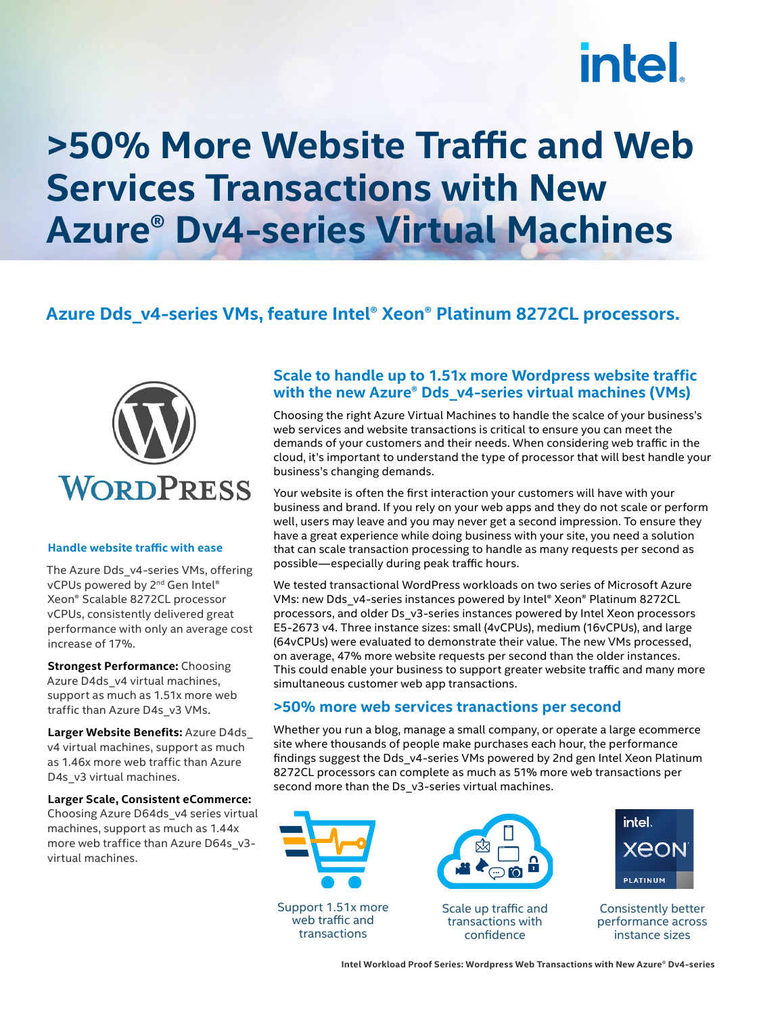# intel.

## **>50% More Website Traffic and Web Services Transactions with New Azure® Dv4-series Virtual Machines**

### **Azure Dds\_v4-series VMs, feature Intel® Xeon® Platinum 8272CL processors.**

transactions



#### **Handle website traffic with ease**

The Azure Dds\_v4-series VMs, offering vCPUs powered by 2<sup>nd</sup> Gen Intel® Xeon® Scalable 8272CL processor vCPUs, consistently delivered great performance with only an average cost increase of 17%.

**Strongest Performance:** Choosing Azure D4ds\_v4 virtual machines, support as much as 1.51x more web traffic than Azure D4s\_v3 VMs.

**Larger Website Benefits:** Azure D4ds\_ v4 virtual machines, support as much as 1.46x more web traffic than Azure D4s\_v3 virtual machines.

**Larger Scale, Consistent eCommerce:**

Choosing Azure D64ds\_v4 series virtual machines, support as much as 1.44x more web traffice than Azure D64s\_v3virtual machines.

#### **Scale to handle up to 1.51x more Wordpress website traffic with the new Azure® Dds\_v4-series virtual machines (VMs)**

Choosing the right Azure Virtual Machines to handle the scalce of your business's web services and website transactions is critical to ensure you can meet the demands of your customers and their needs. When considering web traffic in the cloud, it's important to understand the type of processor that will best handle your business's changing demands.

Your website is often the first interaction your customers will have with your business and brand. If you rely on your web apps and they do not scale or perform well, users may leave and you may never get a second impression. To ensure they have a great experience while doing business with your site, you need a solution that can scale transaction processing to handle as many requests per second as possible—especially during peak traffic hours.

We tested transactional WordPress workloads on two series of Microsoft Azure VMs: new Dds\_v4-series instances powered by Intel® Xeon® Platinum 8272CL processors, and older Ds\_v3-series instances powered by Intel Xeon processors E5-2673 v4. Three instance sizes: small (4vCPUs), medium (16vCPUs), and large (64vCPUs) were evaluated to demonstrate their value. The new VMs processed, on average, 47% more website requests per second than the older instances. This could enable your business to support greater website traffic and many more simultaneous customer web app transactions.

#### **>50% more web services tranactions per second**

Whether you run a blog, manage a small company, or operate a large ecommerce site where thousands of people make purchases each hour, the performance findings suggest the Dds\_v4-series VMs powered by 2nd gen Intel Xeon Platinum 8272CL processors can complete as much as 51% more web transactions per second more than the Ds\_v3-series virtual machines.



confidence

performance across instance sizes

**Intel Workload Proof Series: Wordpress Web Transactions with New Azure® Dv4-series**